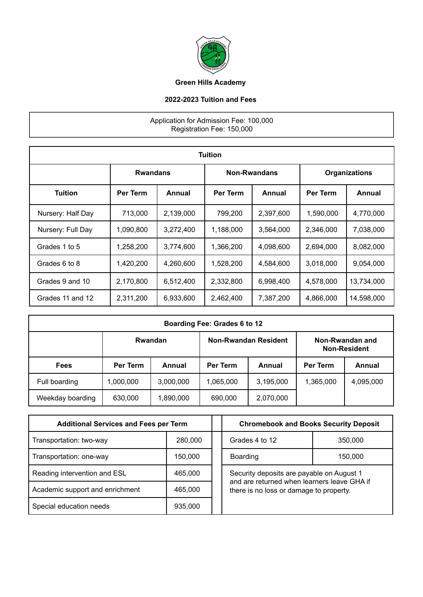

## **Green Hills Academy**

## **2022-2023 Tuition and Fees**

## Application for Admission Fee: 100,000 Registration Fee: 150,000

| <b>Tuition</b>    |           |                 |           |                     |                      |            |
|-------------------|-----------|-----------------|-----------|---------------------|----------------------|------------|
|                   |           | <b>Rwandans</b> |           | <b>Non-Rwandans</b> | <b>Organizations</b> |            |
| <b>Tuition</b>    | Per Term  | Annual          | Per Term  | Annual              | <b>Per Term</b>      | Annual     |
| Nursery: Half Day | 713,000   | 2,139,000       | 799,200   | 2,397,600           | 1,590,000            | 4,770,000  |
| Nursery: Full Day | 1,090,800 | 3,272,400       | 1,188,000 | 3.564.000           | 2.346.000            | 7,038,000  |
| Grades 1 to 5     | 1,258,200 | 3,774,600       | 1,366,200 | 4,098,600           | 2,694,000            | 8,082,000  |
| Grades 6 to 8     | 1,420,200 | 4,260,600       | 1,528,200 | 4,584,600           | 3,018,000            | 9,054,000  |
| Grades 9 and 10   | 2,170,800 | 6,512,400       | 2,332,800 | 6,998,400           | 4,578,000            | 13,734,000 |
| Grades 11 and 12  | 2,311,200 | 6,933,600       | 2,462,400 | 7,387,200           | 4,866,000            | 14,598,000 |

| Boarding Fee: Grades 6 to 12 |                 |           |                             |           |                                        |           |
|------------------------------|-----------------|-----------|-----------------------------|-----------|----------------------------------------|-----------|
|                              |                 | Rwandan   | <b>Non-Rwandan Resident</b> |           | Non-Rwandan and<br><b>Non-Resident</b> |           |
| <b>Fees</b>                  | <b>Per Term</b> | Annual    | Per Term                    | Annual    | <b>Per Term</b>                        | Annual    |
| Full boarding                | ,000,000        | 3,000,000 | 1,065,000                   | 3,195,000 | 1,365,000                              | 4,095,000 |
| Weekday boarding             | 630,000         | 1,890,000 | 690,000                     | 2,070,000 |                                        |           |

| <b>Additional Services and Fees per Term</b> |         |  | <b>Chromebook and Books Security Deposit</b>                                           |         |  |
|----------------------------------------------|---------|--|----------------------------------------------------------------------------------------|---------|--|
| Transportation: two-way                      | 280,000 |  | Grades 4 to 12                                                                         | 350,000 |  |
| Transportation: one-way                      | 150,000 |  | Boarding                                                                               | 150,000 |  |
| Reading intervention and ESL                 | 465,000 |  | Security deposits are payable on August 1                                              |         |  |
| Academic support and enrichment              | 465,000 |  | and are returned when learners leave GHA if<br>there is no loss or damage to property. |         |  |
| Special education needs                      | 935,000 |  |                                                                                        |         |  |